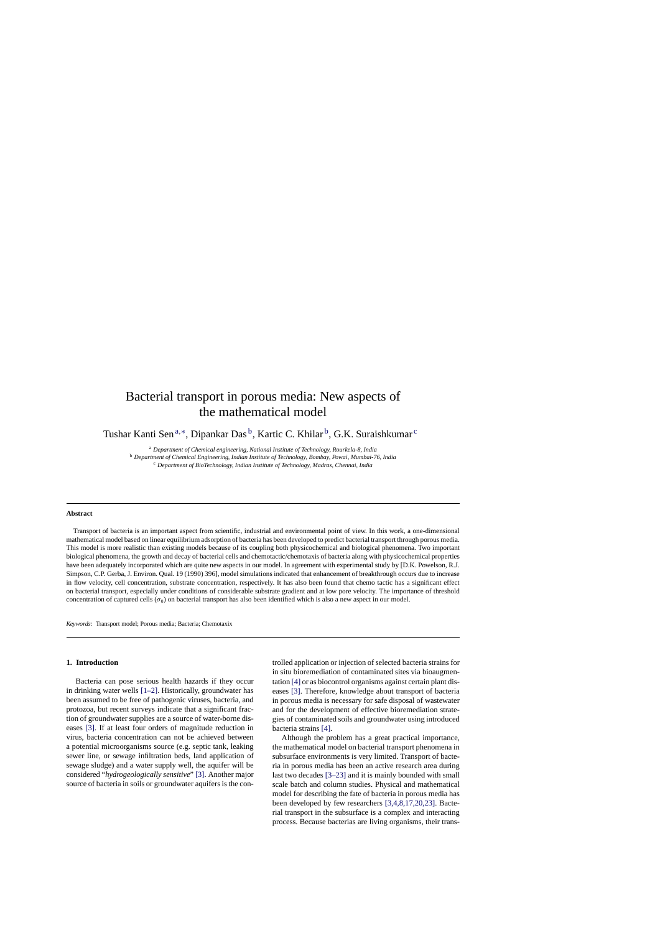# Bacterial transport in porous media: New aspects of the mathematical model

Tushar Kanti Sen<sup>a,∗</sup>, Dipankar Das<sup>b</sup>, Kartic C. Khilar<sup>b</sup>, G.K. Suraishkumar<sup>c</sup>

<sup>a</sup> *Department of Chemical engineering, National Institute of Technology, Rourkela-8, India*

<sup>b</sup> *Department of Chemical Engineering, Indian Institute of Technology, Bombay, Powai, Mumbai-76, India*

<sup>c</sup> *Department of BioTechnology, Indian Institute of Technology, Madras, Chennai, India*

#### **Abstract**

Transport of bacteria is an important aspect from scientific, industrial and environmental point of view. In this work, a one-dimensional mathematical model based on linear equilibrium adsorption of bacteria has been developed to predict bacterial transport through porous media. This model is more realistic than existing models because of its coupling both physicochemical and biological phenomena. Two important biological phenomena, the growth and decay of bacterial cells and chemotactic/chemotaxis of bacteria along with physicochemical properties have been adequately incorporated which are quite new aspects in our model. In agreement with experimental study by [D.K. Powelson, R.J. Simpson, C.P. Gerba, J. Environ. Qual. 19 (1990) 396], model simulations indicated that enhancement of breakthrough occurs due to increase in flow velocity, cell concentration, substrate concentration, respectively. It has also been found that chemo tactic has a significant effect on bacterial transport, especially under conditions of considerable substrate gradient and at low pore velocity. The importance of threshold concentration of captured cells ( $\sigma_0$ ) on bacterial transport has also been identified which is also a new aspect in our model.

*Keywords:* Transport model; Porous media; Bacteria; Chemotaxix

## **1. Introduction**

Bacteria can pose serious health hazards if they occur in drinking water wells [\[1–2\].](#page-8-0) Historically, groundwater has been assumed to be free of pathogenic viruses, bacteria, and protozoa, but recent surveys indicate that a significant fraction of groundwater supplies are a source of water-borne diseases [\[3\].](#page-8-0) If at least four orders of magnitude reduction in virus, bacteria concentration can not be achieved between a potential microorganisms source (e.g. septic tank, leaking sewer line, or sewage infiltration beds, land application of sewage sludge) and a water supply well, the aquifer will be considered "*hydrogeologically sensitive*" [\[3\]. A](#page-8-0)nother major source of bacteria in soils or groundwater aquifers is the controlled application or injection of selected bacteria strains for in situ bioremediation of contaminated sites via bioaugmentation [\[4\]](#page-8-0) or as biocontrol organisms against certain plant diseases [\[3\].](#page-8-0) Therefore, knowledge about transport of bacteria in porous media is necessary for safe disposal of wastewater and for the development of effective bioremediation strategies of contaminated soils and groundwater using introduced bacteria strains [\[4\].](#page-8-0)

Although the problem has a great practical importance, the mathematical model on bacterial transport phenomena in subsurface environments is very limited. Transport of bacteria in porous media has been an active research area during last two decades [\[3–23\]](#page-8-0) and it is mainly bounded with small scale batch and column studies. Physical and mathematical model for describing the fate of bacteria in porous media has been developed by few researchers [\[3,4,8,17,20,23\].](#page-8-0) Bacterial transport in the subsurface is a complex and interacting process. Because bacterias are living organisms, their trans-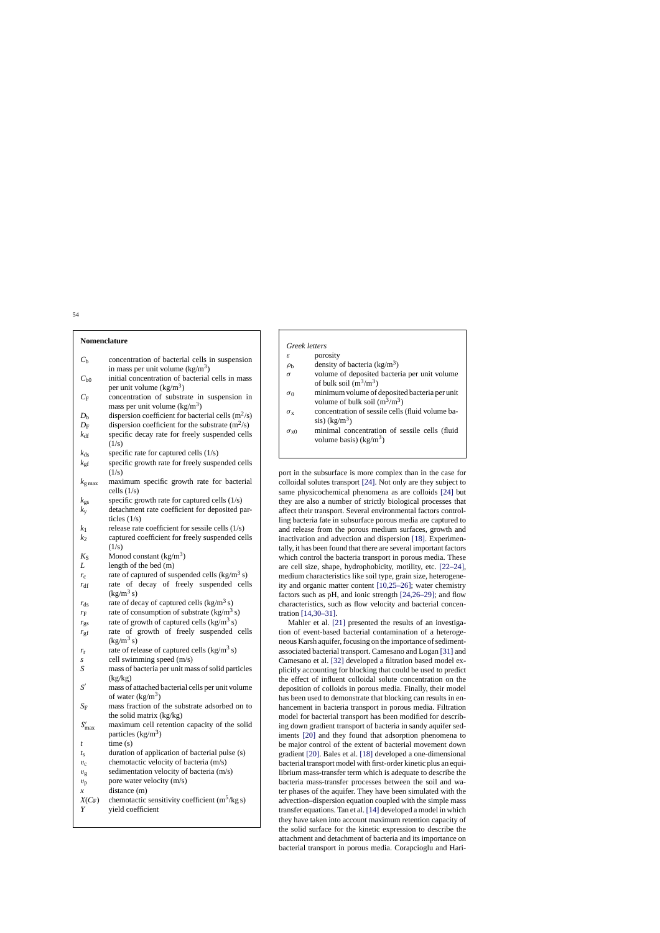## **Nomenclature**

| $C_{\rm b}$                     | concentration of bacterial cells in suspension                                                |
|---------------------------------|-----------------------------------------------------------------------------------------------|
|                                 | in mass per unit volume $(kg/m3)$                                                             |
| $C_{\rm b0}$                    | initial concentration of bacterial cells in mass<br>per unit volume $(kg/m^3)$                |
| $C_{\rm F}$                     | concentration of substrate in suspension in                                                   |
|                                 | mass per unit volume $(kg/m^3)$                                                               |
| $D_{\rm b}$                     | dispersion coefficient for bacterial cells $(m^2/s)$                                          |
| $D_{\rm F}$                     | dispersion coefficient for the substrate $(m^2/s)$                                            |
| $k_{\text{df}}$                 | specific decay rate for freely suspended cells<br>(1/s)                                       |
| $k_{ds}$                        | specific rate for captured cells (1/s)                                                        |
| $k_{\rm gf}$                    | specific growth rate for freely suspended cells                                               |
|                                 | (1/s)                                                                                         |
| $k_{\rm g\,max}$                | maximum specific growth rate for bacterial<br>cells $(1/s)$                                   |
| $k_{\rm gs}$                    | specific growth rate for captured cells (1/s)                                                 |
| $k_{\rm y}$                     | detachment rate coefficient for deposited par-                                                |
|                                 | ticles $(1/s)$<br>release rate coefficient for sessile cells (1/s)                            |
| k <sub>1</sub><br>$k_2$         | captured coefficient for freely suspended cells                                               |
|                                 | (1/s)                                                                                         |
| $K_{\rm S}$                     | Monod constant $(kg/m^3)$                                                                     |
| L                               | length of the bed (m)                                                                         |
| $r_{\rm c}$                     | rate of captured of suspended cells $(kg/m^3 s)$                                              |
| $r_{\text{df}}$                 | rate of decay of freely suspended cells                                                       |
|                                 | $\frac{\text{kg}}{\text{m}^3 \text{ s}}$                                                      |
| $r_{\rm ds}$                    | rate of decay of captured cells $(kg/m^3 s)$<br>rate of consumption of substrate $(kg/m^3 s)$ |
| $r_{\rm F}$<br>$r_{\rm gs}$     | rate of growth of captured cells (kg/m <sup>3</sup> s)                                        |
| $r_{\rm gf}$                    | rate of growth of freely suspended cells                                                      |
|                                 | $(kg/m^3 s)$                                                                                  |
| $r_{\rm r}$                     | rate of release of captured cells (kg/m <sup>3</sup> s)                                       |
| S                               | cell swimming speed (m/s)                                                                     |
| S                               | mass of bacteria per unit mass of solid particles                                             |
|                                 | (kg/kg)                                                                                       |
| $S^{\prime}$                    | mass of attached bacterial cells per unit volume<br>of water $(kg/m^3)$                       |
| $S_{\rm F}$                     | mass fraction of the substrate adsorbed on to                                                 |
|                                 | the solid matrix (kg/kg)                                                                      |
| $S'_{\text{max}}$               | maximum cell retention capacity of the solid                                                  |
|                                 | particles $(kg/m3)$                                                                           |
| t                               | time(s)                                                                                       |
| $t_{\rm S}$                     | duration of application of bacterial pulse (s)                                                |
| $v_{\rm c}$                     | chemotactic velocity of bacteria (m/s)                                                        |
| $v_{\rm g}$                     | sedimentation velocity of bacteria (m/s)                                                      |
| $v_{\rm p}$<br>$\boldsymbol{x}$ | pore water velocity (m/s)<br>distance (m)                                                     |
| $X(C_F)$                        | chemotactic sensitivity coefficient $(m^5/kg s)$                                              |
| Y                               | yield coefficient                                                                             |
|                                 |                                                                                               |

## *Greek letters*

 $\varepsilon$  porosity

 $\rho_{\rm b}$  density of bacteria (kg/m<sup>3</sup>)

- σ volume of deposited bacteria per unit volume of bulk soil  $(m^3/m^3)$
- $\sigma_0$  minimum volume of deposited bacteria per unit volume of bulk soil  $(m^3/m^3)$
- $\sigma_{\rm x}$  concentration of sessile cells (fluid volume ba- $\sin(kg/m^3)$

 $\sigma_{x0}$  minimal concentration of sessile cells (fluid volume basis) ( $kg/m<sup>3</sup>$ )

port in the subsurface is more complex than in the case for colloidal solutes transport [\[24\].](#page-8-0) Not only are they subject to same physicochemical phenomena as are colloids [\[24\]](#page-8-0) but they are also a number of strictly biological processes that affect their transport. Several environmental factors controlling bacteria fate in subsurface porous media are captured to and release from the porous medium surfaces, growth and inactivation and advection and dispersion [\[18\].](#page-8-0) Experimentally, it has been found that there are several important factors which control the bacteria transport in porous media. These are cell size, shape, hydrophobicity, motility, etc. [\[22–24\],](#page-8-0) medium characteristics like soil type, grain size, heterogeneity and organic matter content [\[10,25–26\];](#page-8-0) water chemistry factors such as pH, and ionic strength [\[24,26–29\];](#page-8-0) and flow characteristics, such as flow velocity and bacterial concentration [\[14,30–31\].](#page-8-0)

Mahler et al. [\[21\]](#page-8-0) presented the results of an investigation of event-based bacterial contamination of a heterogeneous Karsh aquifer, focusing on the importance of sedimentassociated bacterial transport. Camesano and Logan [\[31\]](#page-9-0) and Camesano et al. [\[32\]](#page-9-0) developed a filtration based model explicitly accounting for blocking that could be used to predict the effect of influent colloidal solute concentration on the deposition of colloids in porous media. Finally, their model has been used to demonstrate that blocking can results in enhancement in bacteria transport in porous media. Filtration model for bacterial transport has been modified for describing down gradient transport of bacteria in sandy aquifer sediments [\[20\]](#page-8-0) and they found that adsorption phenomena to be major control of the extent of bacterial movement down gradient [\[20\]. B](#page-8-0)ales et al. [\[18\]](#page-8-0) developed a one-dimensional bacterial transport model with first-order kinetic plus an equilibrium mass-transfer term which is adequate to describe the bacteria mass-transfer processes between the soil and water phases of the aquifer. They have been simulated with the advection–dispersion equation coupled with the simple mass transfer equations. Tan et al. [\[14\]](#page-8-0) developed a model in which they have taken into account maximum retention capacity of the solid surface for the kinetic expression to describe the attachment and detachment of bacteria and its importance on bacterial transport in porous media. Corapcioglu and Hari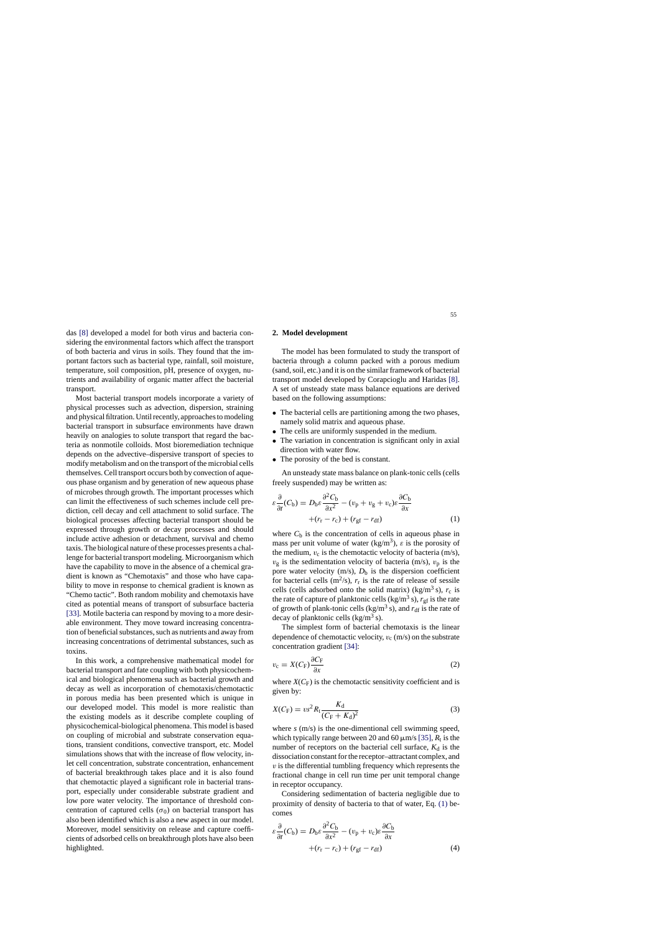<span id="page-2-0"></span>das [\[8\]](#page-8-0) developed a model for both virus and bacteria considering the environmental factors which affect the transport of both bacteria and virus in soils. They found that the important factors such as bacterial type, rainfall, soil moisture, temperature, soil composition, pH, presence of oxygen, nutrients and availability of organic matter affect the bacterial transport.

Most bacterial transport models incorporate a variety of physical processes such as advection, dispersion, straining and physical filtration. Until recently, approaches to modeling bacterial transport in subsurface environments have drawn heavily on analogies to solute transport that regard the bacteria as nonmotile colloids. Most bioremediation technique depends on the advective–dispersive transport of species to modify metabolism and on the transport of the microbial cells themselves. Cell transport occurs both by convection of aqueous phase organism and by generation of new aqueous phase of microbes through growth. The important processes which can limit the effectiveness of such schemes include cell prediction, cell decay and cell attachment to solid surface. The biological processes affecting bacterial transport should be expressed through growth or decay processes and should include active adhesion or detachment, survival and chemo taxis. The biological nature of these processes presents a challenge for bacterial transport modeling. Microorganism which have the capability to move in the absence of a chemical gradient is known as "Chemotaxis" and those who have capability to move in response to chemical gradient is known as "Chemo tactic". Both random mobility and chemotaxis have cited as potential means of transport of subsurface bacteria [\[33\]. M](#page-9-0)otile bacteria can respond by moving to a more desirable environment. They move toward increasing concentration of beneficial substances, such as nutrients and away from increasing concentrations of detrimental substances, such as toxins.

In this work, a comprehensive mathematical model for bacterial transport and fate coupling with both physicochemical and biological phenomena such as bacterial growth and decay as well as incorporation of chemotaxis/chemotactic in porous media has been presented which is unique in our developed model. This model is more realistic than the existing models as it describe complete coupling of physicochemical-biological phenomena. This model is based on coupling of microbial and substrate conservation equations, transient conditions, convective transport, etc. Model simulations shows that with the increase of flow velocity, inlet cell concentration, substrate concentration, enhancement of bacterial breakthrough takes place and it is also found that chemotactic played a significant role in bacterial transport, especially under considerable substrate gradient and low pore water velocity. The importance of threshold concentration of captured cells ( $\sigma_0$ ) on bacterial transport has also been identified which is also a new aspect in our model. Moreover, model sensitivity on release and capture coefficients of adsorbed cells on breakthrough plots have also been highlighted.

#### **2. Model development**

The model has been formulated to study the transport of bacteria through a column packed with a porous medium (sand, soil, etc.) and it is on the similar framework of bacterial transport model developed by Corapcioglu and Haridas [\[8\].](#page-8-0) A set of unsteady state mass balance equations are derived based on the following assumptions:

- The bacterial cells are partitioning among the two phases, namely solid matrix and aqueous phase.
- The cells are uniformly suspended in the medium.
- The variation in concentration is significant only in axial direction with water flow.
- The porosity of the bed is constant.

An unsteady state mass balance on plank-tonic cells (cells freely suspended) may be written as:

$$
\varepsilon \frac{\partial}{\partial t}(C_{\rm b}) = D_{\rm b}\varepsilon \frac{\partial^2 C_{\rm b}}{\partial x^2} - (v_{\rm p} + v_{\rm g} + v_{\rm c})\varepsilon \frac{\partial C_{\rm b}}{\partial x} + (r_{\rm r} - r_{\rm c}) + (r_{\rm gf} - r_{\rm df})
$$
(1)

where  $C_b$  is the concentration of cells in aqueous phase in mass per unit volume of water (kg/m<sup>3</sup>),  $\varepsilon$  is the porosity of the medium,  $v_c$  is the chemotactic velocity of bacteria (m/s),  $v_{\rm g}$  is the sedimentation velocity of bacteria (m/s),  $v_{\rm p}$  is the pore water velocity  $(m/s)$ ,  $D_b$  is the dispersion coefficient for bacterial cells  $(m^2/s)$ ,  $r_r$  is the rate of release of sessile cells (cells adsorbed onto the solid matrix) (kg/m<sup>3</sup> s),  $r_c$  is the rate of capture of planktonic cells (kg/m<sup>3</sup> s),  $r_{\text{gf}}$  is the rate of growth of plank-tonic cells (kg/m<sup>3</sup> s), and  $r_{df}$  is the rate of decay of planktonic cells  $\frac{\text{kg}}{m^3}$  s).

The simplest form of bacterial chemotaxis is the linear dependence of chemotactic velocity,  $v_c$  (m/s) on the substrate concentration gradient [\[34\]:](#page-9-0)

$$
v_{\rm c} = X(C_{\rm F}) \frac{\partial C_{\rm F}}{\partial x} \tag{2}
$$

where  $X(C_F)$  is the chemotactic sensitivity coefficient and is given by:

$$
X(C_{\rm F}) = v s^2 R_{\rm t} \frac{K_{\rm d}}{(C_{\rm F} + K_{\rm d})^2} \tag{3}
$$

where *s* (m/s) is the one-dimentional cell swimming speed, which typically range between 20 and 60  $\mu$ m/s [\[35\],](#page-9-0)  $R_t$  is the number of receptors on the bacterial cell surface,  $K_d$  is the dissociation constant for the receptor–attractant complex, and  $v$  is the differential tumbling frequency which represents the fractional change in cell run time per unit temporal change in receptor occupancy.

Considering sedimentation of bacteria negligible due to proximity of density of bacteria to that of water, Eq. (1) becomes

$$
\varepsilon \frac{\partial}{\partial t}(C_{\rm b}) = D_{\rm b}\varepsilon \frac{\partial^2 C_{\rm b}}{\partial x^2} - (v_{\rm p} + v_{\rm c})\varepsilon \frac{\partial C_{\rm b}}{\partial x} + (r_{\rm r} - r_{\rm c}) + (r_{\rm gf} - r_{\rm df})
$$
\n(4)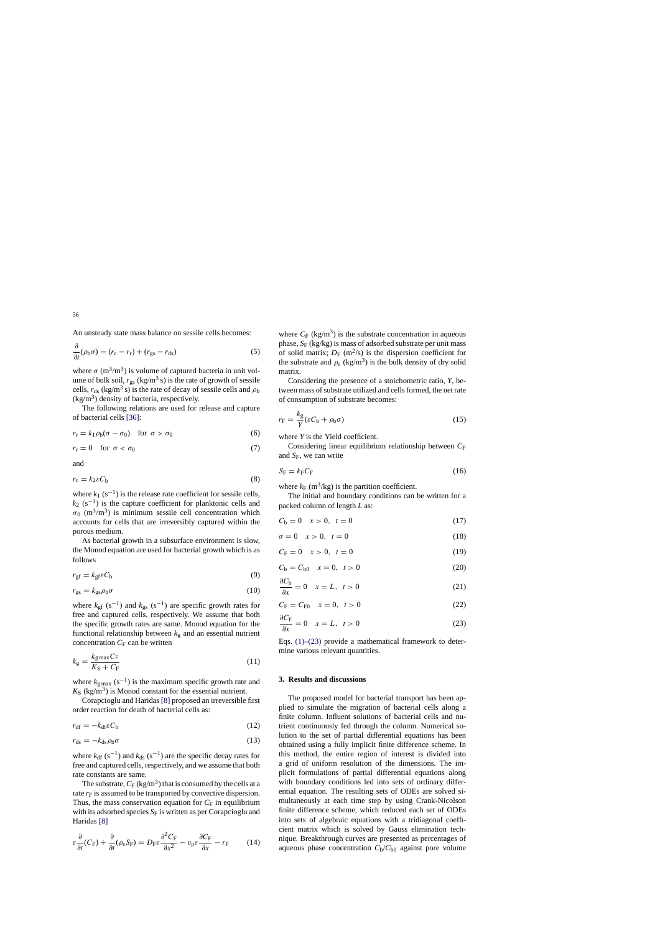<span id="page-3-0"></span>
$$
\frac{\partial}{\partial t}(\rho_b \sigma) = (r_c - r_r) + (r_{gs} - r_{ds})
$$
\n(5)

where  $\sigma$  (m<sup>3</sup>/m<sup>3</sup>) is volume of captured bacteria in unit volume of bulk soil,  $r_{\rm gs}$  (kg/m<sup>3</sup> s) is the rate of growth of sessile cells,  $r_{ds}$  (kg/m<sup>3</sup> s) is the rate of decay of sessile cells and  $\rho_b$  $(kg/m<sup>3</sup>)$  density of bacteria, respectively.

The following relations are used for release and capture of bacterial cells [\[36\]:](#page-9-0)

$$
r_{\rm r} = k_1 \rho_{\rm b} (\sigma - \sigma_0) \quad \text{for } \sigma > \sigma_0 \tag{6}
$$

$$
r_{\rm r} = 0 \quad \text{for } \sigma < \sigma_0 \tag{7}
$$

and

$$
r_{\rm c} = k_2 \varepsilon C_{\rm b} \tag{8}
$$

where  $k_1$  (s<sup>-1</sup>) is the release rate coefficient for sessile cells,  $k_2$  (s<sup>-1</sup>) is the capture coefficient for planktonic cells and  $\sigma_0$  (m<sup>3</sup>/m<sup>3</sup>) is minimum sessile cell concentration which accounts for cells that are irreversibly captured within the porous medium.

As bacterial growth in a subsurface environment is slow, the Monod equation are used for bacterial growth which is as follows

$$
r_{\rm gf} = k_{\rm gf} \varepsilon C_{\rm b} \tag{9}
$$

$$
r_{\rm gs} = k_{\rm gs} \rho_{\rm b} \sigma \tag{10}
$$

where  $k_{\text{gf}}$  (s<sup>-1</sup>) and  $k_{\text{gs}}$  (s<sup>-1</sup>) are specific growth rates for free and captured cells, respectively. We assume that both the specific growth rates are same. Monod equation for the functional relationship between  $k<sub>g</sub>$  and an essential nutrient concentration  $C_F$  can be written

$$
k_{\rm g} = \frac{k_{\rm g \, max} C_{\rm F}}{K_{\rm S} + C_{\rm F}}\tag{11}
$$

where  $k_{\text{g max}}$  (s<sup>-1</sup>) is the maximum specific growth rate and  $K<sub>S</sub>$  (kg/m<sup>3</sup>) is Monod constant for the essential nutrient.

Corapcioglu and Haridas [\[8\]](#page-8-0) proposed an irreversible first order reaction for death of bacterial cells as:

$$
r_{\rm df} = -k_{\rm df} \varepsilon C_{\rm b} \tag{12}
$$

$$
r_{\rm ds} = -k_{\rm ds} \rho_{\rm b} \sigma \tag{13}
$$

where  $k_{df}$  (s<sup>-1</sup>) and  $k_{ds}$  (s<sup>-1</sup>) are the specific decay rates for free and captured cells, respectively, and we assume that both rate constants are same.

The substrate,  $C_F$  (kg/m<sup>3</sup>) that is consumed by the cells at a rate  $r_F$  is assumed to be transported by convective dispersion. Thus, the mass conservation equation for  $C_F$  in equilibrium with its adsorbed species  $S_F$  is written as per Corapcioglu and Haridas [\[8\]](#page-8-0)

$$
\varepsilon \frac{\partial}{\partial t}(C_{\rm F}) + \frac{\partial}{\partial t}(\rho_{\rm s}S_{\rm F}) = D_{\rm F}\varepsilon \frac{\partial^2 C_{\rm F}}{\partial x^2} - v_{\rm p}\varepsilon \frac{\partial C_{\rm F}}{\partial x} - r_{\rm F} \tag{14}
$$

where  $C_F$  (kg/m<sup>3</sup>) is the substrate concentration in aqueous phase,  $S_F$  (kg/kg) is mass of adsorbed substrate per unit mass of solid matrix;  $D_F$  (m<sup>2</sup>/s) is the dispersion coefficient for the substrate and  $\rho_s$  (kg/m<sup>3</sup>) is the bulk density of dry solid matrix.

Considering the presence of a stoichometric ratio, *Y*, between mass of substrate utilized and cells formed, the net rate of consumption of substrate becomes:

$$
r_{\rm F} = \frac{k_{\rm g}}{Y} (\varepsilon C_{\rm b} + \rho_{\rm b} \sigma) \tag{15}
$$

where *Y* is the Yield coefficient.

Considering linear equilibrium relationship between  $C_F$ and *S*F, we can write

$$
S_{\rm F} = k_{\rm F} C_{\rm F} \tag{16}
$$

where  $k_F$  (m<sup>3</sup>/kg) is the partition coefficient.

The initial and boundary conditions can be written for a packed column of length *L* as:

$$
C_{\rm b} = 0 \quad x > 0, \ \ t = 0 \tag{17}
$$

$$
\sigma = 0 \quad x > 0, \quad t = 0 \tag{18}
$$

$$
C_{\rm F} = 0 \quad x > 0, \ \ t = 0 \tag{19}
$$

$$
C_{\rm b} = C_{\rm b0} \quad x = 0, \ t > 0 \tag{20}
$$

$$
\frac{\partial C_{\mathbf{b}}}{\partial x} = 0 \quad x = L, \ t > 0 \tag{21}
$$

$$
C_{\rm F} = C_{\rm F0} \quad x = 0, \ t > 0 \tag{22}
$$

$$
\frac{\partial C_{\rm F}}{\partial x} = 0 \quad x = L, \ t > 0 \tag{23}
$$

Eqs. [\(1\)–\(23\)](#page-2-0) provide a mathematical framework to determine various relevant quantities.

#### **3. Results and discussions**

The proposed model for bacterial transport has been applied to simulate the migration of bacterial cells along a finite column. Influent solutions of bacterial cells and nutrient continuously fed through the column. Numerical solution to the set of partial differential equations has been obtained using a fully implicit finite difference scheme. In this method, the entire region of interest is divided into a grid of uniform resolution of the dimensions. The implicit formulations of partial differential equations along with boundary conditions led into sets of ordinary differential equation. The resulting sets of ODEs are solved simultaneously at each time step by using Crank-Nicolson finite difference scheme, which reduced each set of ODEs into sets of algebraic equations with a tridiagonal coefficient matrix which is solved by Gauss elimination technique. Breakthrough curves are presented as percentages of aqueous phase concentration  $C_b/C_{b0}$  against pore volume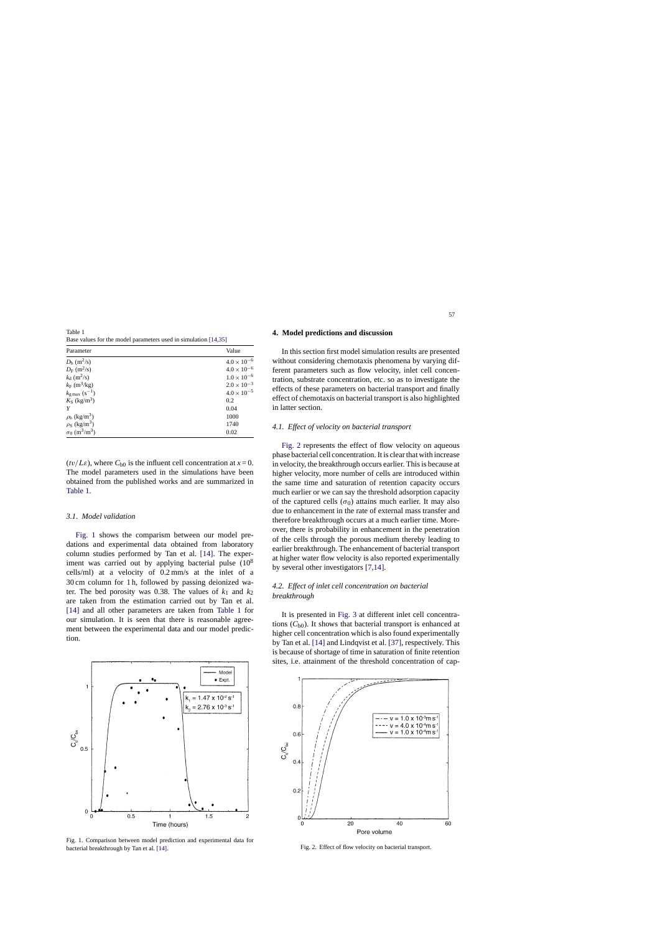Table 1 Base values for the model parameters used in simulation [\[14,35\]](#page-8-0)

| Parameter                                    | Value                |
|----------------------------------------------|----------------------|
| $D_{\rm b}$ (m <sup>2</sup> /s)              | $4.0 \times 10^{-6}$ |
| $D_F$ (m <sup>2</sup> /s)                    | $4.0 \times 10^{-6}$ |
| $k_d$ (m <sup>2</sup> /s)                    | $1.0 \times 10^{-6}$ |
| $k_F$ (m <sup>3</sup> /kg)                   | $2.0 \times 10^{-3}$ |
| $k_{\rm g \, max}$ (s <sup>-1</sup> )        | $4.0 \times 10^{-5}$ |
| $K_{\rm S}$ (kg/m <sup>3</sup> )             | 0.2                  |
|                                              | 0.04                 |
| $\rho_{\rm b}$ (kg/m <sup>3</sup> )          | 1000                 |
| $\rho_S$ (kg/m <sup>3</sup> )                | 1740                 |
| $\sigma_0$ (m <sup>3</sup> /m <sup>3</sup> ) | 0.02                 |

 $(tv/L\varepsilon)$ , where  $C_{b0}$  is the influent cell concentration at  $x=0$ . The model parameters used in the simulations have been obtained from the published works and are summarized in Table 1.

#### *3.1. Model validation*

Fig. 1 shows the comparism between our model predations and experimental data obtained from laboratory column studies performed by Tan et al. [\[14\].](#page-8-0) The experiment was carried out by applying bacterial pulse  $(10^8)$ cells/ml) at a velocity of 0.2 mm/s at the inlet of a 30 cm column for 1 h, followed by passing deionized water. The bed porosity was 0.38. The values of  $k_1$  and  $k_2$ are taken from the estimation carried out by Tan et al. [\[14\]](#page-8-0) and all other parameters are taken from Table 1 for our simulation. It is seen that there is reasonable agreement between the experimental data and our model prediction.



Fig. 1. Comparison between model prediction and experimental data for bacterial breakthrough by Tan et al. [\[14\].](#page-8-0)

### **4. Model predictions and discussion**

In this section first model simulation results are presented without considering chemotaxis phenomena by varying different parameters such as flow velocity, inlet cell concentration, substrate concentration, etc. so as to investigate the effects of these parameters on bacterial transport and finally effect of chemotaxis on bacterial transport is also highlighted in latter section.

## *4.1. Effect of velocity on bacterial transport*

Fig. 2 represents the effect of flow velocity on aqueous phase bacterial cell concentration. It is clear that with increase in velocity, the breakthrough occurs earlier. This is because at higher velocity, more number of cells are introduced within the same time and saturation of retention capacity occurs much earlier or we can say the threshold adsorption capacity of the captured cells ( $\sigma_0$ ) attains much earlier. It may also due to enhancement in the rate of external mass transfer and therefore breakthrough occurs at a much earlier time. Moreover, there is probability in enhancement in the penetration of the cells through the porous medium thereby leading to earlier breakthrough. The enhancement of bacterial transport at higher water flow velocity is also reported experimentally by several other investigators [\[7,14\].](#page-8-0)

# *4.2. Effect of inlet cell concentration on bacterial breakthrough*

It is presented in [Fig. 3](#page-5-0) at different inlet cell concentrations  $(C_{b0})$ . It shows that bacterial transport is enhanced at higher cell concentration which is also found experimentally by Tan et al. [\[14\]](#page-8-0) and Lindqvist et al. [\[37\],](#page-9-0) respectively. This is because of shortage of time in saturation of finite retention sites, i.e. attainment of the threshold concentration of cap-



Fig. 2. Effect of flow velocity on bacterial transport.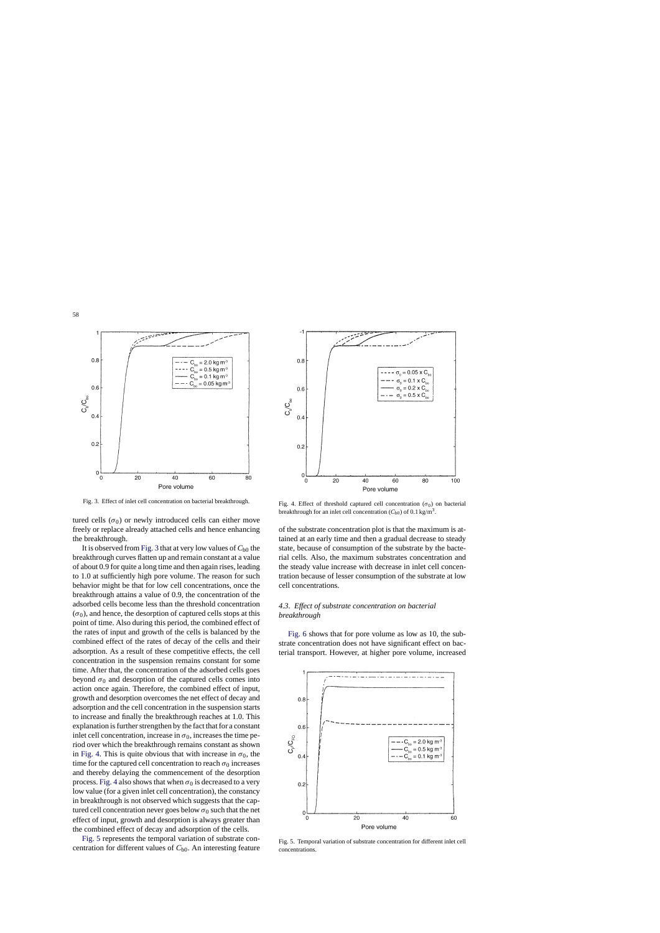<span id="page-5-0"></span>

Fig. 3. Effect of inlet cell concentration on bacterial breakthrough.

tured cells ( $\sigma_0$ ) or newly introduced cells can either move freely or replace already attached cells and hence enhancing the breakthrough.

It is observed from Fig. 3 that at very low values of  $C_{b0}$  the breakthrough curves flatten up and remain constant at a value of about 0.9 for quite a long time and then again rises, leading to 1.0 at sufficiently high pore volume. The reason for such behavior might be that for low cell concentrations, once the breakthrough attains a value of 0.9, the concentration of the adsorbed cells become less than the threshold concentration  $(\sigma_0)$ , and hence, the desorption of captured cells stops at this point of time. Also during this period, the combined effect of the rates of input and growth of the cells is balanced by the combined effect of the rates of decay of the cells and their adsorption. As a result of these competitive effects, the cell concentration in the suspension remains constant for some time. After that, the concentration of the adsorbed cells goes beyond  $\sigma_0$  and desorption of the captured cells comes into action once again. Therefore, the combined effect of input, growth and desorption overcomes the net effect of decay and adsorption and the cell concentration in the suspension starts to increase and finally the breakthrough reaches at 1.0. This explanation is further strengthen by the fact that for a constant inlet cell concentration, increase in  $\sigma_0$ , increases the time period over which the breakthrough remains constant as shown in Fig. 4. This is quite obvious that with increase in  $\sigma_0$ , the time for the captured cell concentration to reach  $\sigma_0$  increases and thereby delaying the commencement of the desorption process. Fig. 4 also shows that when  $\sigma_0$  is decreased to a very low value (for a given inlet cell concentration), the constancy in breakthrough is not observed which suggests that the captured cell concentration never goes below  $\sigma_0$  such that the net effect of input, growth and desorption is always greater than the combined effect of decay and adsorption of the cells.

Fig. 5 represents the temporal variation of substrate concentration for different values of *C*b0. An interesting feature



Fig. 4. Effect of threshold captured cell concentration ( $\sigma_0$ ) on bacterial breakthrough for an inlet cell concentration  $(C_{b0})$  of 0.1 kg/m<sup>3</sup>.

of the substrate concentration plot is that the maximum is attained at an early time and then a gradual decrease to steady state, because of consumption of the substrate by the bacterial cells. Also, the maximum substrates concentration and the steady value increase with decrease in inlet cell concentration because of lesser consumption of the substrate at low cell concentrations.

# *4.3. Effect of substrate concentration on bacterial breakthrough*

[Fig. 6](#page-6-0) shows that for pore volume as low as 10, the substrate concentration does not have significant effect on bacterial transport. However, at higher pore volume, increased



Fig. 5. Temporal variation of substrate concentration for different inlet cell concentrations.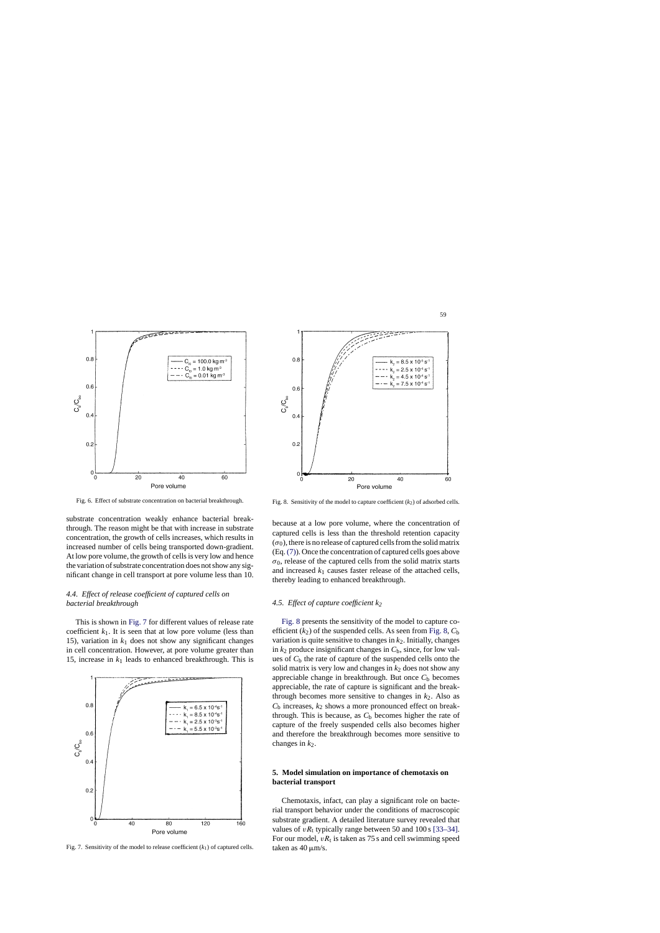<span id="page-6-0"></span>

Fig. 6. Effect of substrate concentration on bacterial breakthrough.

substrate concentration weakly enhance bacterial breakthrough. The reason might be that with increase in substrate concentration, the growth of cells increases, which results in increased number of cells being transported down-gradient. At low pore volume, the growth of cells is very low and hence the variation of substrate concentration does not show any significant change in cell transport at pore volume less than 10.

# *4.4. Effect of release coefficient of captured cells on bacterial breakthrough*

This is shown in Fig. 7 for different values of release rate coefficient  $k_1$ . It is seen that at low pore volume (less than 15), variation in  $k_1$  does not show any significant changes in cell concentration. However, at pore volume greater than 15, increase in  $k_1$  leads to enhanced breakthrough. This is



Fig. 7. Sensitivity of the model to release coefficient  $(k_1)$  of captured cells.



Fig. 8. Sensitivity of the model to capture coefficient  $(k_2)$  of adsorbed cells.

because at a low pore volume, where the concentration of captured cells is less than the threshold retention capacity  $(\sigma_0)$ , there is no release of captured cells from the solid matrix (Eq.[\(7\)\).](#page-3-0) Once the concentration of captured cells goes above  $\sigma_0$ , release of the captured cells from the solid matrix starts and increased  $k_1$  causes faster release of the attached cells, thereby leading to enhanced breakthrough.

## *4.5. Effect of capture coefficient k2*

Fig. 8 presents the sensitivity of the model to capture coefficient  $(k_2)$  of the suspended cells. As seen from Fig. 8,  $C<sub>b</sub>$ variation is quite sensitive to changes in  $k_2$ . Initially, changes in  $k_2$  produce insignificant changes in  $C_b$ , since, for low values of *C*<sup>b</sup> the rate of capture of the suspended cells onto the solid matrix is very low and changes in  $k_2$  does not show any appreciable change in breakthrough. But once  $C<sub>b</sub>$  becomes appreciable, the rate of capture is significant and the breakthrough becomes more sensitive to changes in  $k_2$ . Also as *C*<sup>b</sup> increases, *k*<sup>2</sup> shows a more pronounced effect on breakthrough. This is because, as  $C<sub>b</sub>$  becomes higher the rate of capture of the freely suspended cells also becomes higher and therefore the breakthrough becomes more sensitive to changes in  $k_2$ .

# **5. Model simulation on importance of chemotaxis on bacterial transport**

Chemotaxis, infact, can play a significant role on bacterial transport behavior under the conditions of macroscopic substrate gradient. A detailed literature survey revealed that values of  $vR_t$  typically range between 50 and 100 s [\[33–34\].](#page-9-0) For our model,  $vR_t$  is taken as 75 s and cell swimming speed taken as  $40 \text{ }\mu\text{m/s}$ .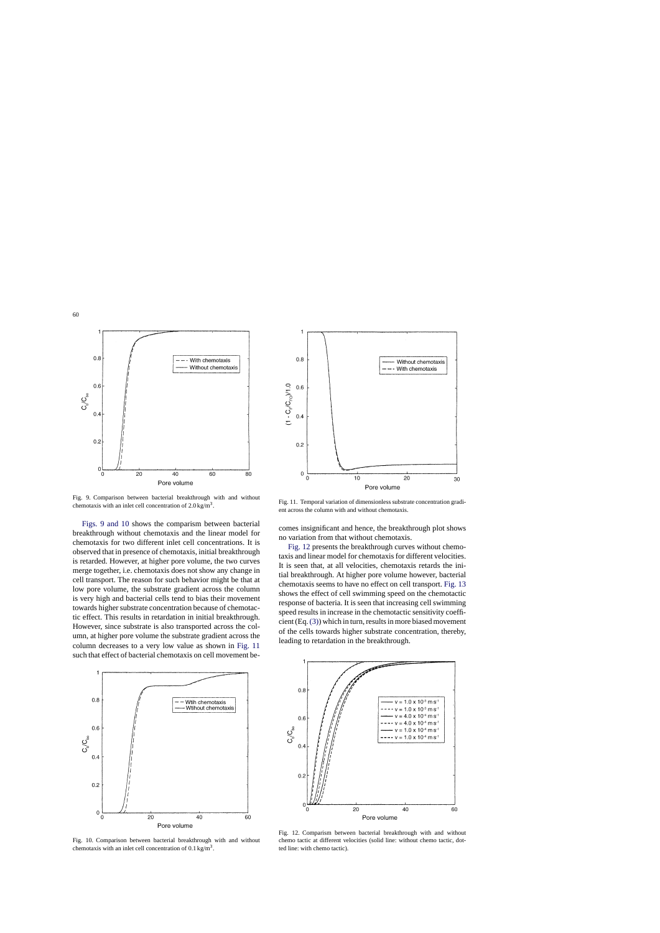

Fig. 9. Comparison between bacterial breakthrough with and without chemotaxis with an inlet cell concentration of  $2.0 \text{ kg/m}^3$ .

Figs. 9 and 10 shows the comparism between bacterial breakthrough without chemotaxis and the linear model for chemotaxis for two different inlet cell concentrations. It is observed that in presence of chemotaxis, initial breakthrough is retarded. However, at higher pore volume, the two curves merge together, i.e. chemotaxis does not show any change in cell transport. The reason for such behavior might be that at low pore volume, the substrate gradient across the column is very high and bacterial cells tend to bias their movement towards higher substrate concentration because of chemotactic effect. This results in retardation in initial breakthrough. However, since substrate is also transported across the column, at higher pore volume the substrate gradient across the column decreases to a very low value as shown in Fig. 11 such that effect of bacterial chemotaxis on cell movement be-



Fig. 10. Comparison between bacterial breakthrough with and without chemotaxis with an inlet cell concentration of  $0.1 \text{ kg/m}^3$ .



Fig. 11. Temporal variation of dimensionless substrate concentration gradient across the column with and without chemotaxis.

comes insignificant and hence, the breakthrough plot shows no variation from that without chemotaxis.

Fig. 12 presents the breakthrough curves without chemotaxis and linear model for chemotaxis for different velocities. It is seen that, at all velocities, chemotaxis retards the initial breakthrough. At higher pore volume however, bacterial chemotaxis seems to have no effect on cell transport. [Fig. 13](#page-8-0) shows the effect of cell swimming speed on the chemotactic response of bacteria. It is seen that increasing cell swimming speed results in increase in the chemotactic sensitivity coefficient (Eq.[\(3\)\) w](#page-2-0)hich in turn, results in more biased movement of the cells towards higher substrate concentration, thereby, leading to retardation in the breakthrough.



Fig. 12. Comparism between bacterial breakthrough with and without chemo tactic at different velocities (solid line: without chemo tactic, dotted line: with chemo tactic).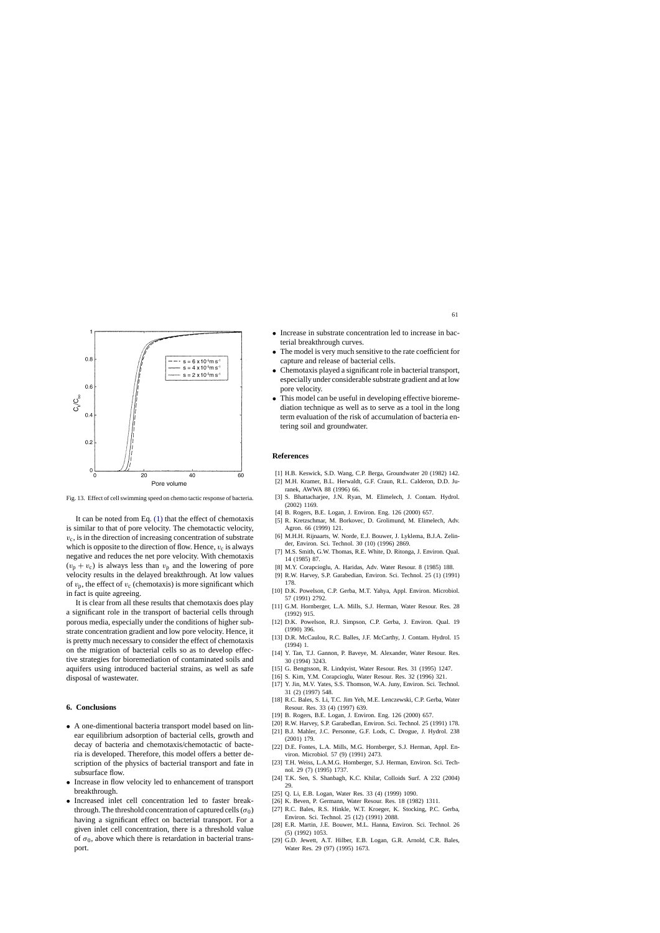<span id="page-8-0"></span>

Fig. 13. Effect of cell swimming speed on chemo tactic response of bacteria.

It can be noted from Eq. [\(1\)](#page-2-0) that the effect of chemotaxis is similar to that of pore velocity. The chemotactic velocity,  $v_c$ , is in the direction of increasing concentration of substrate which is opposite to the direction of flow. Hence,  $v_c$  is always negative and reduces the net pore velocity. With chemotaxis  $(v_p + v_c)$  is always less than  $v_p$  and the lowering of pore velocity results in the delayed breakthrough. At low values of  $v_p$ , the effect of  $v_c$  (chemotaxis) is more significant which in fact is quite agreeing.

It is clear from all these results that chemotaxis does play a significant role in the transport of bacterial cells through porous media, especially under the conditions of higher substrate concentration gradient and low pore velocity. Hence, it is pretty much necessary to consider the effect of chemotaxis on the migration of bacterial cells so as to develop effective strategies for bioremediation of contaminated soils and aquifers using introduced bacterial strains, as well as safe disposal of wastewater.

## **6. Conclusions**

- A one-dimentional bacteria transport model based on linear equilibrium adsorption of bacterial cells, growth and decay of bacteria and chemotaxis/chemotactic of bacteria is developed. Therefore, this model offers a better description of the physics of bacterial transport and fate in subsurface flow.
- Increase in flow velocity led to enhancement of transport breakthrough.
- Increased inlet cell concentration led to faster breakthrough. The threshold concentration of captured cells ( $\sigma_0$ ) having a significant effect on bacterial transport. For a given inlet cell concentration, there is a threshold value of  $\sigma_0$ , above which there is retardation in bacterial transport.
- The model is very much sensitive to the rate coefficient for capture and release of bacterial cells.
- Chemotaxis played a significant role in bacterial transport, especially under considerable substrate gradient and at low pore velocity.
- This model can be useful in developing effective bioremediation technique as well as to serve as a tool in the long term evaluation of the risk of accumulation of bacteria entering soil and groundwater.

## **References**

- [1] H.B. Keswick, S.D. Wang, C.P. Berga, Groundwater 20 (1982) 142.
- [2] M.H. Kramer, B.L. Herwaldt, G.F. Craun, R.L. Calderon, D.D. Juranek, AWWA 88 (1996) 66.
- [3] S. Bhattacharjee, J.N. Ryan, M. Elimelech, J. Contam. Hydrol. (2002) 1169.
- [4] B. Rogers, B.E. Logan, J. Environ. Eng. 126 (2000) 657.
- [5] R. Kretzschmar, M. Borkovec, D. Grolimund, M. Elimelech, Adv. Agron. 66 (1999) 121.
- [6] M.H.H. Rijnaarts, W. Norde, E.J. Bouwer, J. Lyklema, B.J.A. Zelinder, Environ. Sci. Technol. 30 (10) (1996) 2869.
- [7] M.S. Smith, G.W. Thomas, R.E. White, D. Ritonga, J. Environ. Qual. 14 (1985) 87.
- [8] M.Y. Corapcioglu, A. Haridas, Adv. Water Resour. 8 (1985) 188.
- [9] R.W. Harvey, S.P. Garabedian, Environ. Sci. Technol. 25 (1) (1991) 178.
- [10] D.K. Powelson, C.P. Gerba, M.T. Yahya, Appl. Environ. Microbiol. 57 (1991) 2792.
- [11] G.M. Hornberger, L.A. Mills, S.J. Herman, Water Resour. Res. 28 (1992) 915.
- [12] D.K. Powelson, R.J. Simpson, C.P. Gerba, J. Environ. Qual. 19 (1990) 396.
- [13] D.R. McCaulou, R.C. Balles, J.F. McCarthy, J. Contam. Hydrol. 15 (1994) 1.
- [14] Y. Tan, T.J. Gannon, P. Baveye, M. Alexander, Water Resour. Res. 30 (1994) 3243.
- [15] G. Bengtsson, R. Lindqvist, Water Resour. Res. 31 (1995) 1247.
- [16] S. Kim, Y.M. Corapcioglu, Water Resour. Res. 32 (1996) 321.
- [17] Y. Jin, M.V. Yates, S.S. Thomson, W.A. Juny, Environ. Sci. Technol. 31 (2) (1997) 548.
- [18] R.C. Bales, S. Li, T.C. Jim Yeh, M.E. Lenczewski, C.P. Gerba, Water Resour. Res. 33 (4) (1997) 639.
- [19] B. Rogers, B.E. Logan, J. Environ. Eng. 126 (2000) 657.
- [20] R.W. Harvey, S.P. Garabedlan, Environ. Sci. Technol. 25 (1991) 178.
- [21] B.J. Mahler, J.C. Personne, G.F. Lods, C. Drogue, J. Hydrol. 238 (2001) 179.
- [22] D.E. Fontes, L.A. Mills, M.G. Hornberger, S.J. Herman, Appl. Environ. Microbiol. 57 (9) (1991) 2473.
- [23] T.H. Weiss, L.A.M.G. Hornberger, S.J. Herman, Environ. Sci. Technol. 29 (7) (1995) 1737.
- [24] T.K. Sen, S. Shanbagh, K.C. Khilar, Colloids Surf. A 232 (2004) 29.
- [25] Q. Li, E.B. Logan, Water Res. 33 (4) (1999) 1090.
- [26] K. Beven, P. Germann, Water Resour. Res. 18 (1982) 1311.
- [27] R.C. Bales, R.S. Hinkle, W.T. Kroeger, K. Stocking, P.C. Gerba, Environ. Sci. Technol. 25 (12) (1991) 2088.
- [28] E.R. Martin, J.E. Bouwer, M.L. Hanna, Environ. Sci. Technol. 26 (5) (1992) 1053.
- [29] G.D. Jewett, A.T. Hilber, E.B. Logan, G.R. Arnold, C.R. Bales, Water Res. 29 (97) (1995) 1673.